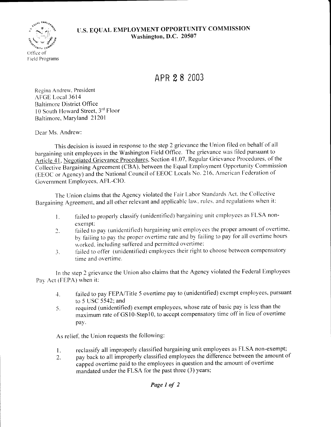## U.S. EQUAL EMPLOYMENT OPPORTUNITY COMMISSION Washington, D.C. 20507



APR 28 2003

Regina Andrew, President AFGE Local 3614 **Baltimore District Office** 10 South Howard Street, 3rd Floor Baltimore, Maryland 21201

Dear Ms. Andrew:

This decision is issued in response to the step 2 grievance the Union filed on behalf of all bargaining unit employees in the Washington Field Office. The grievance was filed pursuant to Article 41, Negotiated Grievance Procedures, Section 41.07, Regular Grievance Procedures, of the Collective Bargaining Agreement (CBA), between the Equal Employment Opportunity Commission (EEOC or Agency) and the National Council of EEOC Locals No. 216, American Federation of Government Employees, AFL-CIO.

The Union claims that the Agency violated the Fair Labor Standards Act, the Collective Bargaining Agreement, and all other relevant and applicable law, rules, and regulations when it:

- failed to properly classify (unidentified) bargaining unit employees as FLSA non- $\mathbf{L}$ exempt:
- failed to pay (unidentified) bargaining unit employees the proper amount of overtime,  $\overline{2}$ . by failing to pay the proper overtime rate and by failing to pay for all overtime hours worked, including suffered and permitted overtime;
- failed to offer (unidentified) employees their right to choose between compensatory  $\mathfrak{Z}$ . time and overtime.

In the step 2 grievance the Union also claims that the Agency violated the Federal Employees Pay Act (FEPA) when it:

- failed to pay FEPA/Title 5 overtime pay to (unidentified) exempt employees, pursuant  $\ddot{+}$ to 5 USC 5542; and
- required (unidentified) exempt employees, whose rate of basic pay is less than the 5. maximum rate of GS10-Step10, to accept compensatory time off in lieu of overtime pay.

As relief, the Union requests the following:

- reclassify all improperly classified bargaining unit employees as FLSA non-exempt; 1.
- pay back to all improperly classified employees the difference between the amount of  $\overline{2}$ . capped overtime paid to the employees in question and the amount of overtime mandated under the FLSA for the past three (3) years;

Page 1 of 2